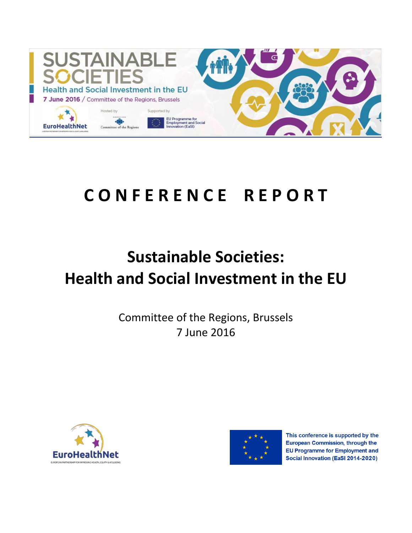

# **C O N F E R E N C E R E P O R T**

## **Sustainable Societies: Health and Social Investment in the EU**

Committee of the Regions, Brussels 7 June 2016





This conference is supported by the **European Commission, through the EU Programme for Employment and** Social Innovation (EaSI 2014-2020)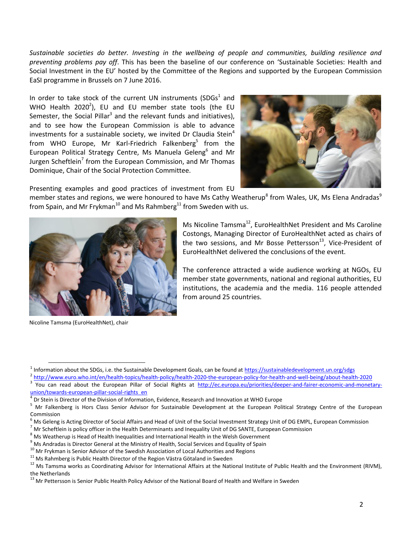*Sustainable societies do better. Investing in the wellbeing of people and communities, building resilience and preventing problems pay off*. This has been the baseline of our conference on 'Sustainable Societies: Health and Social Investment in the EU' hosted by the Committee of the Regions and supported by the European Commission EaSI programme in Brussels on 7 June 2016.

In order to take stock of the current UN instruments (SDGs $^1$  and WHO Health 2020<sup>2</sup>), EU and EU member state tools (the EU Semester, the Social Pillar<sup>3</sup> and the relevant funds and initiatives), and to see how the European Commission is able to advance investments for a sustainable society, we invited Dr Claudia Stein<sup>4</sup> from WHO Europe, Mr Karl-Friedrich Falkenberg<sup>5</sup> from the European Political Strategy Centre, Ms Manuela Geleng<sup>6</sup> and Mr Jurgen Scheftlein<sup>7</sup> from the European Commission, and Mr Thomas Dominique, Chair of the Social Protection Committee.



Presenting examples and good practices of investment from EU

member states and regions, we were honoured to have Ms Cathy Weatherup<sup>8</sup> from Wales, UK, Ms Elena Andradas<sup>9</sup> from Spain, and Mr Frykman<sup>10</sup> and Ms Rahmberg<sup>11</sup> from Sweden with us.



Nicoline Tamsma (EuroHealthNet), chair

l

Ms Nicoline Tamsma<sup>12</sup>, EuroHealthNet President and Ms Caroline Costongs, Managing Director of EuroHealthNet acted as chairs of the two sessions, and Mr Bosse Pettersson<sup>13</sup>, Vice-President of EuroHealthNet delivered the conclusions of the event.

The conference attracted a wide audience working at NGOs, EU member state governments, national and regional authorities, EU institutions, the academia and the media. 116 people attended from around 25 countries.

- $9$  Ms Andradas is Director General at the Ministry of Health, Social Services and Equality of Spain
- $^{10}$  Mr Frykman is Senior Advisor of the Swedish Association of Local Authorities and Regions

<sup>&</sup>lt;sup>1</sup> Information about the SDGs, i.e. the Sustainable Development Goals, can be found at **https://sustainabledevelopment.un.org/sdgs** 

<sup>&</sup>lt;sup>2</sup> <http://www.euro.who.int/en/health-topics/health-policy/health-2020-the-european-policy-for-health-and-well-being/about-health-2020> 3 You can read about the European Pillar of Social Rights at [http://ec.europa.eu/priorities/deeper-and-fairer-economic-and-monetary](http://ec.europa.eu/priorities/deeper-and-fairer-economic-and-monetary-union/towards-european-pillar-social-rights_en)[union/towards-european-pillar-social-rights\\_en](http://ec.europa.eu/priorities/deeper-and-fairer-economic-and-monetary-union/towards-european-pillar-social-rights_en)

<sup>&</sup>lt;sup>4</sup> Dr Stein is Director of the Division of Information, Evidence, Research and Innovation at WHO Europe

<sup>&</sup>lt;sup>5</sup> Mr Falkenberg is Hors Class Senior Advisor for Sustainable Development at the European Political Strategy Centre of the European Commission

 $^6$  Ms Geleng is Acting Director of Social Affairs and Head of Unit of the Social Investment Strategy Unit of DG EMPL, European Commission

<sup>&</sup>lt;sup>7</sup> Mr Scheftlein is policy officer in the Health Determinants and Inequality Unit of DG SANTE, European Commission

 $8$  Ms Weatherup is Head of Health Inequalities and International Health in the Welsh Government

 $11$  Ms Rahmberg is Public Health Director of the Region Västra Götaland in Sweden

<sup>&</sup>lt;sup>12</sup> Ms Tamsma works as Coordinating Advisor for International Affairs at the National Institute of Public Health and the Environment (RIVM), the Netherlands

<sup>&</sup>lt;sup>13</sup> Mr Pettersson is Senior Public Health Policy Advisor of the National Board of Health and Welfare in Sweden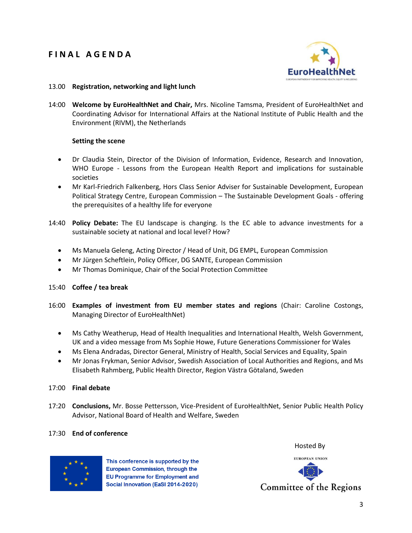## **F I N A L A G E N D A**



#### 13.00 **Registration, networking and light lunch**

14:00 **Welcome by EuroHealthNet and Chair,** Mrs. Nicoline Tamsma, President of EuroHealthNet and Coordinating Advisor for International Affairs at the National Institute of Public Health and the Environment (RIVM), the Netherlands

#### **Setting the scene**

- Dr Claudia Stein, Director of the Division of Information, Evidence, Research and Innovation, WHO Europe *-* Lessons from the European Health Report and implications for sustainable societies
- Mr Karl-Friedrich Falkenberg, Hors Class Senior Adviser for Sustainable Development, European Political Strategy Centre, European Commission – The Sustainable Development Goals - offering the prerequisites of a healthy life for everyone
- 14:40 **Policy Debate:** The EU landscape is changing. Is the EC able to advance investments for a sustainable society at national and local level? How?
	- Ms Manuela Geleng, Acting Director / Head of Unit, DG EMPL, European Commission
	- Mr Jürgen Scheftlein, Policy Officer, DG SANTE, European Commission
	- Mr Thomas Dominique, Chair of the Social Protection Committee

#### 15:40 **Coffee / tea break**

- 16:00 **Examples of investment from EU member states and regions** (Chair: Caroline Costongs, Managing Director of EuroHealthNet)
	- Ms Cathy Weatherup, Head of Health Inequalities and International Health, Welsh Government, UK and a video message from Ms Sophie Howe, Future Generations Commissioner for Wales
	- Ms Elena Andradas, Director General, Ministry of Health, Social Services and Equality, Spain
	- Mr Jonas Frykman, Senior Advisor, Swedish Association of Local Authorities and Regions, and Ms Elisabeth Rahmberg, Public Health Director, Region Västra Götaland, Sweden

#### 17:00 **Final debate**

17:20 **Conclusions,** Mr. Bosse Pettersson, Vice-President of EuroHealthNet, Senior Public Health Policy Advisor, National Board of Health and Welfare, Sweden

#### 17:30 **End of conference**



This conference is supported by the **European Commission, through the EU Programme for Employment and** Social Innovation (EaSI 2014-2020)

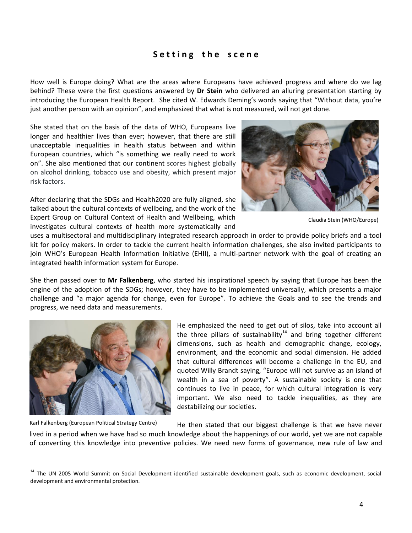#### **S e t t i n g t h e s c e n e**

How well is Europe doing? What are the areas where Europeans have achieved progress and where do we lag behind? These were the first questions answered by **Dr Stein** who delivered an alluring presentation starting by introducing the European Health Report. She cited W. Edwards Deming's words saying that "Without data, you're just another person with an opinion", and emphasized that what is not measured, will not get done.

She stated that on the basis of the data of WHO, Europeans live longer and healthier lives than ever; however, that there are still unacceptable inequalities in health status between and within European countries, which "is something we really need to work on". She also mentioned that our continent scores highest globally on alcohol drinking, tobacco use and obesity, which present major risk factors.

After declaring that the SDGs and Health2020 are fully aligned, she talked about the cultural contexts of wellbeing, and the work of the Expert Group on Cultural Context of Health and Wellbeing, which investigates cultural contexts of health more systematically and



Claudia Stein (WHO/Europe)

uses a multisectoral and multidisciplinary integrated research approach in order to provide policy briefs and a tool kit for policy makers. In order to tackle the current health information challenges, she also invited participants to join WHO's European Health Information Initiative (EHII), a multi-partner network with the goal of creating an integrated health information system for Europe.

She then passed over to **Mr Falkenberg**, who started his inspirational speech by saying that Europe has been the engine of the adoption of the SDGs; however, they have to be implemented universally, which presents a major challenge and "a major agenda for change, even for Europe". To achieve the Goals and to see the trends and progress, we need data and measurements.



Karl Falkenberg (European Political Strategy Centre)

 $\overline{\phantom{a}}$ 

He emphasized the need to get out of silos, take into account all the three pillars of sustainability<sup>14</sup> and bring together different dimensions, such as health and demographic change, ecology, environment, and the economic and social dimension. He added that cultural differences will become a challenge in the EU, and quoted Willy Brandt saying, "Europe will not survive as an island of wealth in a sea of poverty". A sustainable society is one that continues to live in peace, for which cultural integration is very important. We also need to tackle inequalities, as they are destabilizing our societies.

He then stated that our biggest challenge is that we have never lived in a period when we have had so much knowledge about the happenings of our world, yet we are not capable of converting this knowledge into preventive policies. We need new forms of governance, new rule of law and

<sup>&</sup>lt;sup>14</sup> The UN 2005 World Summit on Social Development identified sustainable development goals, such as economic development, social development and environmental protection.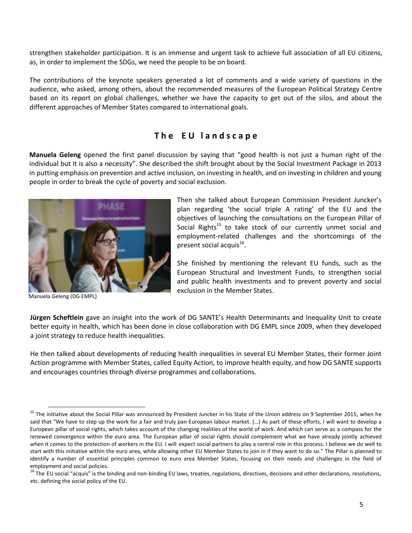strengthen stakeholder participation. It is an immense and urgent task to achieve full association of all EU citizens, as, in order to implement the SDGs, we need the people to be on board.

The contributions of the keynote speakers generated a lot of comments and a wide variety of questions in the audience, who asked, among others, about the recommended measures of the European Political Strategy Centre based on its report on global challenges, whether we have the capacity to get out of the silos, and about the different approaches of Member States compared to international goals.

### **T h e E U l a n d s c a p e**

**Manuela Geleng** opened the first panel discussion by saying that "good health is not just a human right of the individual but it is also a necessity". She described the shift brought about by the Social Investment Package in 2013 in putting emphasis on prevention and active inclusion, on investing in health, and on investing in children and young people in order to break the cycle of poverty and social exclusion.



Manuela Geleng (DG EMPL)

 $\overline{\phantom{a}}$ 

Then she talked about European Commission President Juncker's plan regarding 'the social triple A rating' of the EU and the objectives of launching the consultations on the European Pillar of Social Rights<sup>15</sup> to take stock of our currently unmet social and employment-related challenges and the shortcomings of the present social acquis<sup>16</sup>.

She finished by mentioning the relevant EU funds, such as the European Structural and Investment Funds, to strengthen social and public health investments and to prevent poverty and social exclusion in the Member States.

**Jürgen Scheftlein** gave an insight into the work of DG SANTE's Health Determinants and Inequality Unit to create better equity in health, which has been done in close collaboration with DG EMPL since 2009, when they developed a joint strategy to reduce health inequalities.

He then talked about developments of reducing health inequalities in several EU Member States, their former Joint Action programme with Member States, called Equity Action, to improve health equity, and how DG SANTE supports and encourages countries through diverse programmes and collaborations.

<sup>&</sup>lt;sup>15</sup> The initiative about the Social Pillar was announced by President Juncker in his State of the Union address on 9 September 2015, when he said that "We have to step up the work for a fair and truly pan-European labour market. (…) As part of these efforts, I will want to develop a European pillar of social rights, which takes account of the changing realities of the world of work. And which can serve as a compass for the renewed convergence within the euro area. The European pillar of social rights should complement what we have already jointly achieved when it comes to the protection of workers in the EU. I will expect social partners to play a central role in this process. I believe we do well to start with this initiative within the euro area, while allowing other EU Member States to join in if they want to do so." The Pillar is planned to identify a number of essential principles common to euro area Member States, focusing on their needs and challenges in the field of employment and social policies.

 $16$  The EU social "acquis" is the binding and non-binding EU laws, treaties, regulations, directives, decisions and other declarations, resolutions, etc. defining the social policy of the EU.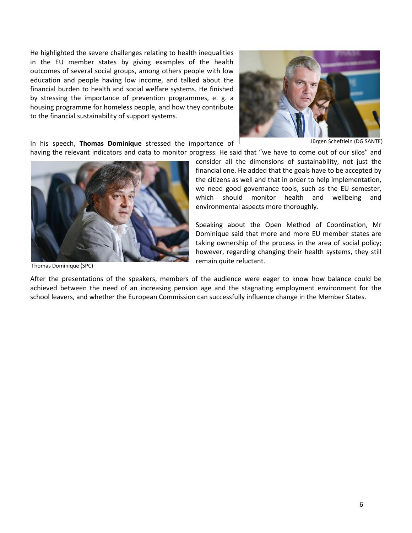He highlighted the severe challenges relating to health inequalities in the EU member states by giving examples of the health outcomes of several social groups, among others people with low education and people having low income, and talked about the financial burden to health and social welfare systems. He finished by stressing the importance of prevention programmes, e. g. a housing programme for homeless people, and how they contribute to the financial sustainability of support systems.



In his speech, **Thomas Dominique** stressed the importance of

Jürgen Scheftlein (DG SANTE)

having the relevant indicators and data to monitor progress. He said that "we have to come out of our silos" and

Thomas Dominique (SPC)

consider all the dimensions of sustainability, not just the financial one. He added that the goals have to be accepted by the citizens as well and that in order to help implementation, we need good governance tools, such as the EU semester, which should monitor health and wellbeing and environmental aspects more thoroughly.

Speaking about the Open Method of Coordination, Mr Dominique said that more and more EU member states are taking ownership of the process in the area of social policy; however, regarding changing their health systems, they still remain quite reluctant.

After the presentations of the speakers, members of the audience were eager to know how balance could be achieved between the need of an increasing pension age and the stagnating employment environment for the school leavers, and whether the European Commission can successfully influence change in the Member States.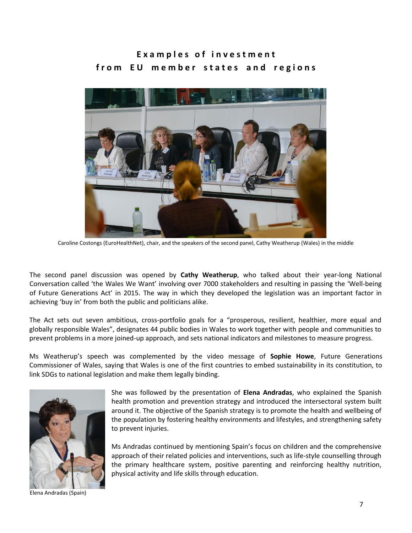## **E x a m p l e s o f i n v e s t m e n t f r o m E U m e m b e r s t a t e s a n d r e g i o n s**



Caroline Costongs (EuroHealthNet), chair, and the speakers of the second panel, Cathy Weatherup (Wales) in the middle

The second panel discussion was opened by **Cathy Weatherup**, who talked about their year-long National Conversation called 'the Wales We Want' involving over 7000 stakeholders and resulting in passing the 'Well-being of Future Generations Act' in 2015. The way in which they developed the legislation was an important factor in achieving 'buy in' from both the public and politicians alike.

The Act sets out seven ambitious, cross-portfolio goals for a "prosperous, resilient, healthier, more equal and globally responsible Wales", designates 44 public bodies in Wales to work together with people and communities to prevent problems in a more joined-up approach, and sets national indicators and milestones to measure progress.

Ms Weatherup's speech was complemented by the video message of **Sophie Howe**, Future Generations Commissioner of Wales, saying that Wales is one of the first countries to embed sustainability in its constitution, to link SDGs to national legislation and make them legally binding.



She was followed by the presentation of **Elena Andradas**, who explained the Spanish health promotion and prevention strategy and introduced the intersectoral system built around it. The objective of the Spanish strategy is to promote the health and wellbeing of the population by fostering healthy environments and lifestyles, and strengthening safety to prevent injuries.

Ms Andradas continued by mentioning Spain's focus on children and the comprehensive approach of their related policies and interventions, such as life-style counselling through the primary healthcare system, positive parenting and reinforcing healthy nutrition, physical activity and life skills through education.

Elena Andradas (Spain)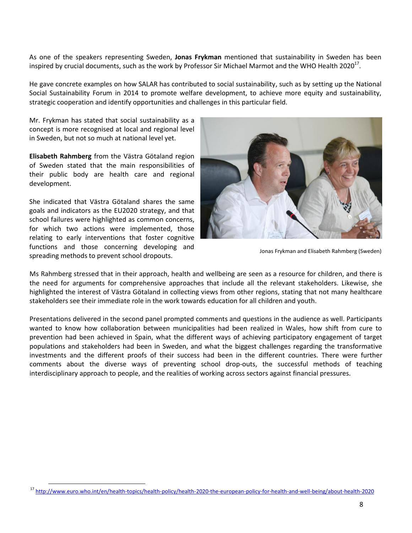As one of the speakers representing Sweden, **Jonas Frykman** mentioned that sustainability in Sweden has been inspired by crucial documents, such as the work by Professor Sir Michael Marmot and the WHO Health 2020<sup>17</sup>.

He gave concrete examples on how SALAR has contributed to social sustainability, such as by setting up the National Social Sustainability Forum in 2014 to promote welfare development, to achieve more equity and sustainability, strategic cooperation and identify opportunities and challenges in this particular field.

Mr. Frykman has stated that social sustainability as a concept is more recognised at local and regional level in Sweden, but not so much at national level yet.

**Elisabeth Rahmberg** from the Västra Götaland region of Sweden stated that the main responsibilities of their public body are health care and regional development.

She indicated that Västra Götaland shares the same goals and indicators as the EU2020 strategy, and that school failures were highlighted as common concerns, for which two actions were implemented, those relating to early interventions that foster cognitive functions and those concerning developing and spreading methods to prevent school dropouts.

 $\overline{\phantom{a}}$ 



Jonas Frykman and Elisabeth Rahmberg (Sweden)

Ms Rahmberg stressed that in their approach, health and wellbeing are seen as a resource for children, and there is the need for arguments for comprehensive approaches that include all the relevant stakeholders. Likewise, she highlighted the interest of Västra Götaland in collecting views from other regions, stating that not many healthcare stakeholders see their immediate role in the work towards education for all children and youth.

Presentations delivered in the second panel prompted comments and questions in the audience as well. Participants wanted to know how collaboration between municipalities had been realized in Wales, how shift from cure to prevention had been achieved in Spain, what the different ways of achieving participatory engagement of target populations and stakeholders had been in Sweden, and what the biggest challenges regarding the transformative investments and the different proofs of their success had been in the different countries. There were further comments about the diverse ways of preventing school drop-outs, the successful methods of teaching interdisciplinary approach to people, and the realities of working across sectors against financial pressures.

<sup>17</sup> <http://www.euro.who.int/en/health-topics/health-policy/health-2020-the-european-policy-for-health-and-well-being/about-health-2020>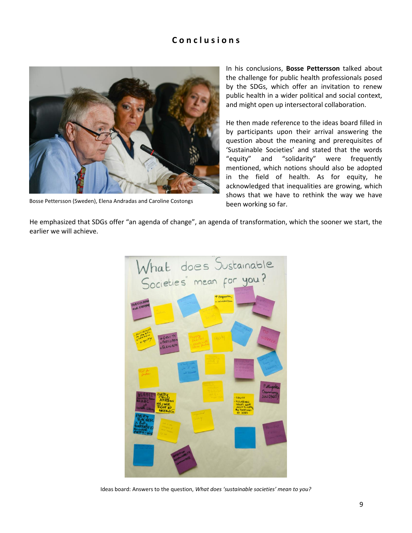### **C o n c l u s i o n s**



Bosse Pettersson (Sweden), Elena Andradas and Caroline Costongs

In his conclusions, **Bosse Pettersson** talked about the challenge for public health professionals posed by the SDGs, which offer an invitation to renew public health in a wider political and social context, and might open up intersectoral collaboration.

He then made reference to the ideas board filled in by participants upon their arrival answering the question about the meaning and prerequisites of 'Sustainable Societies' and stated that the words "equity" and "solidarity" were frequently mentioned, which notions should also be adopted in the field of health. As for equity, he acknowledged that inequalities are growing, which shows that we have to rethink the way we have been working so far.

He emphasized that SDGs offer "an agenda of change", an agenda of transformation, which the sooner we start, the earlier we will achieve.



Ideas board: Answers to the question, *What does 'sustainable societies' mean to you?*